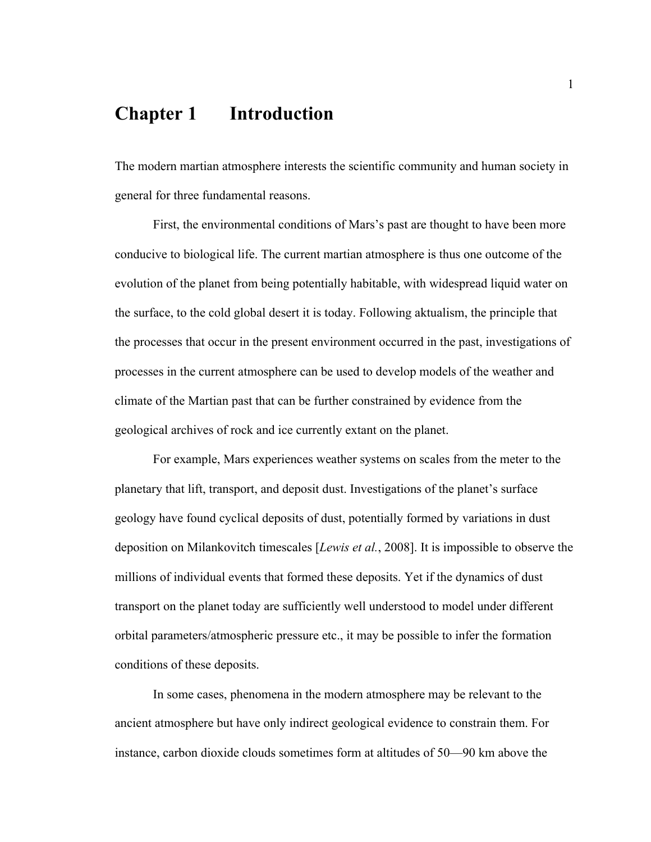## **Chapter 1 Introduction**

The modern martian atmosphere interests the scientific community and human society in general for three fundamental reasons.

First, the environmental conditions of Mars's past are thought to have been more conducive to biological life. The current martian atmosphere is thus one outcome of the evolution of the planet from being potentially habitable, with widespread liquid water on the surface, to the cold global desert it is today. Following aktualism, the principle that the processes that occur in the present environment occurred in the past, investigations of processes in the current atmosphere can be used to develop models of the weather and climate of the Martian past that can be further constrained by evidence from the geological archives of rock and ice currently extant on the planet.

For example, Mars experiences weather systems on scales from the meter to the planetary that lift, transport, and deposit dust. Investigations of the planet's surface geology have found cyclical deposits of dust, potentially formed by variations in dust deposition on Milankovitch timescales [*Lewis et al.*, 2008]. It is impossible to observe the millions of individual events that formed these deposits. Yet if the dynamics of dust transport on the planet today are sufficiently well understood to model under different orbital parameters/atmospheric pressure etc., it may be possible to infer the formation conditions of these deposits.

In some cases, phenomena in the modern atmosphere may be relevant to the ancient atmosphere but have only indirect geological evidence to constrain them. For instance, carbon dioxide clouds sometimes form at altitudes of 50—90 km above the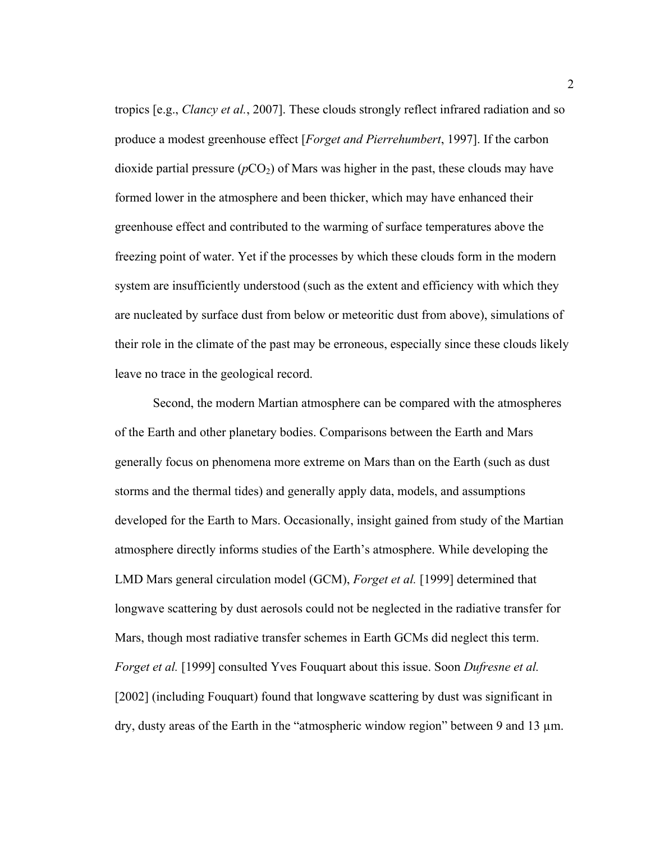tropics [e.g., *Clancy et al.*, 2007]. These clouds strongly reflect infrared radiation and so produce a modest greenhouse effect [*Forget and Pierrehumbert*, 1997]. If the carbon dioxide partial pressure  $(pCO<sub>2</sub>)$  of Mars was higher in the past, these clouds may have formed lower in the atmosphere and been thicker, which may have enhanced their greenhouse effect and contributed to the warming of surface temperatures above the freezing point of water. Yet if the processes by which these clouds form in the modern system are insufficiently understood (such as the extent and efficiency with which they are nucleated by surface dust from below or meteoritic dust from above), simulations of their role in the climate of the past may be erroneous, especially since these clouds likely leave no trace in the geological record.

Second, the modern Martian atmosphere can be compared with the atmospheres of the Earth and other planetary bodies. Comparisons between the Earth and Mars generally focus on phenomena more extreme on Mars than on the Earth (such as dust storms and the thermal tides) and generally apply data, models, and assumptions developed for the Earth to Mars. Occasionally, insight gained from study of the Martian atmosphere directly informs studies of the Earth's atmosphere. While developing the LMD Mars general circulation model (GCM), *Forget et al.* [1999] determined that longwave scattering by dust aerosols could not be neglected in the radiative transfer for Mars, though most radiative transfer schemes in Earth GCMs did neglect this term. *Forget et al.* [1999] consulted Yves Fouquart about this issue. Soon *Dufresne et al.* [2002] (including Fouquart) found that longwave scattering by dust was significant in dry, dusty areas of the Earth in the "atmospheric window region" between 9 and 13 µm.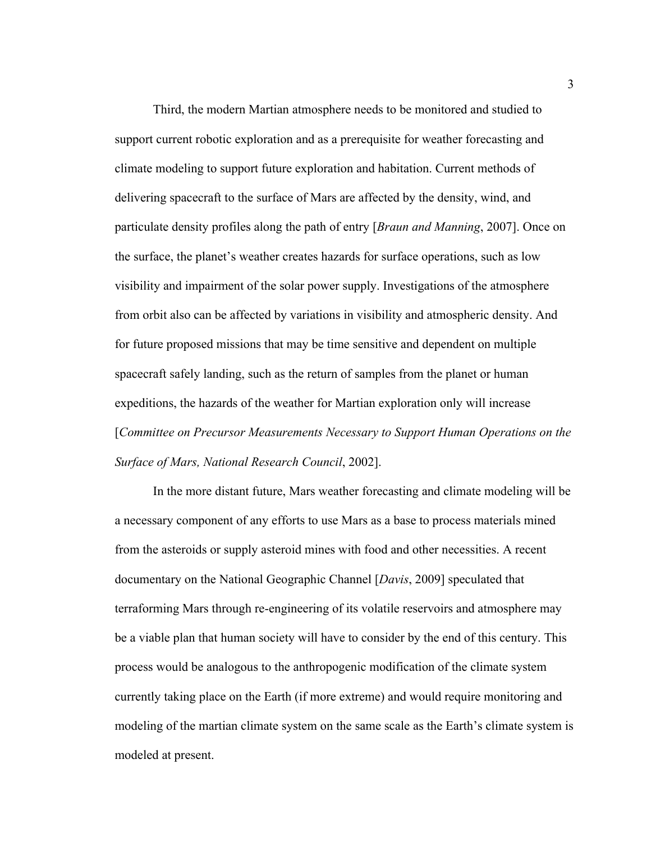Third, the modern Martian atmosphere needs to be monitored and studied to support current robotic exploration and as a prerequisite for weather forecasting and climate modeling to support future exploration and habitation. Current methods of delivering spacecraft to the surface of Mars are affected by the density, wind, and particulate density profiles along the path of entry [*Braun and Manning*, 2007]. Once on the surface, the planet's weather creates hazards for surface operations, such as low visibility and impairment of the solar power supply. Investigations of the atmosphere from orbit also can be affected by variations in visibility and atmospheric density. And for future proposed missions that may be time sensitive and dependent on multiple spacecraft safely landing, such as the return of samples from the planet or human expeditions, the hazards of the weather for Martian exploration only will increase [*Committee on Precursor Measurements Necessary to Support Human Operations on the Surface of Mars, National Research Council*, 2002].

In the more distant future, Mars weather forecasting and climate modeling will be a necessary component of any efforts to use Mars as a base to process materials mined from the asteroids or supply asteroid mines with food and other necessities. A recent documentary on the National Geographic Channel [*Davis*, 2009] speculated that terraforming Mars through re-engineering of its volatile reservoirs and atmosphere may be a viable plan that human society will have to consider by the end of this century. This process would be analogous to the anthropogenic modification of the climate system currently taking place on the Earth (if more extreme) and would require monitoring and modeling of the martian climate system on the same scale as the Earth's climate system is modeled at present.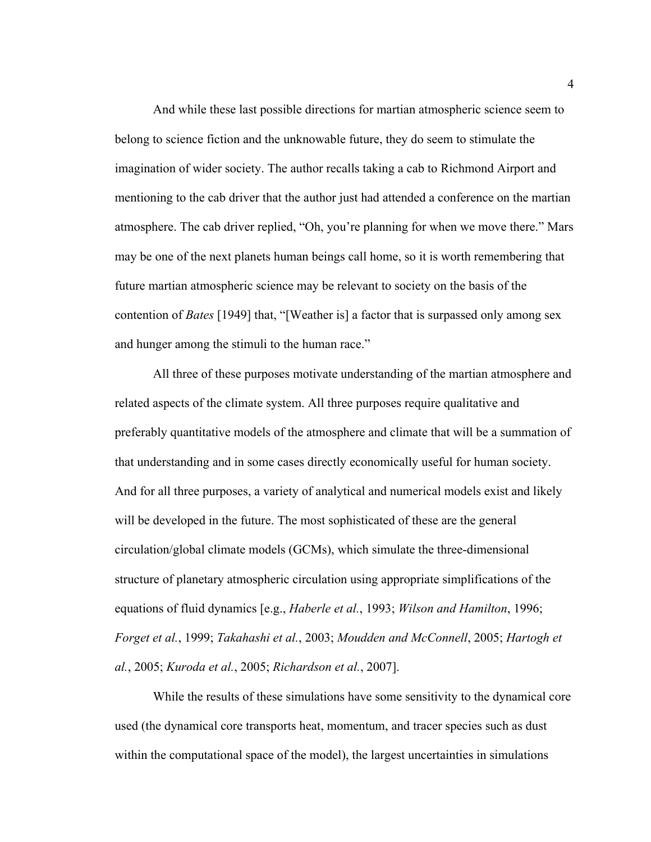And while these last possible directions for martian atmospheric science seem to belong to science fiction and the unknowable future, they do seem to stimulate the imagination of wider society. The author recalls taking a cab to Richmond Airport and mentioning to the cab driver that the author just had attended a conference on the martian atmosphere. The cab driver replied, "Oh, you're planning for when we move there." Mars may be one of the next planets human beings call home, so it is worth remembering that future martian atmospheric science may be relevant to society on the basis of the contention of *Bates* [1949] that, "[Weather is] a factor that is surpassed only among sex and hunger among the stimuli to the human race."

All three of these purposes motivate understanding of the martian atmosphere and related aspects of the climate system. All three purposes require qualitative and preferably quantitative models of the atmosphere and climate that will be a summation of that understanding and in some cases directly economically useful for human society. And for all three purposes, a variety of analytical and numerical models exist and likely will be developed in the future. The most sophisticated of these are the general circulation/global climate models (GCMs), which simulate the three-dimensional structure of planetary atmospheric circulation using appropriate simplifications of the equations of fluid dynamics [e.g., *Haberle et al.*, 1993; *Wilson and Hamilton*, 1996; *Forget et al.*, 1999; *Takahashi et al.*, 2003; *Moudden and McConnell*, 2005; *Hartogh et al.*, 2005; *Kuroda et al.*, 2005; *Richardson et al.*, 2007].

While the results of these simulations have some sensitivity to the dynamical core used (the dynamical core transports heat, momentum, and tracer species such as dust within the computational space of the model), the largest uncertainties in simulations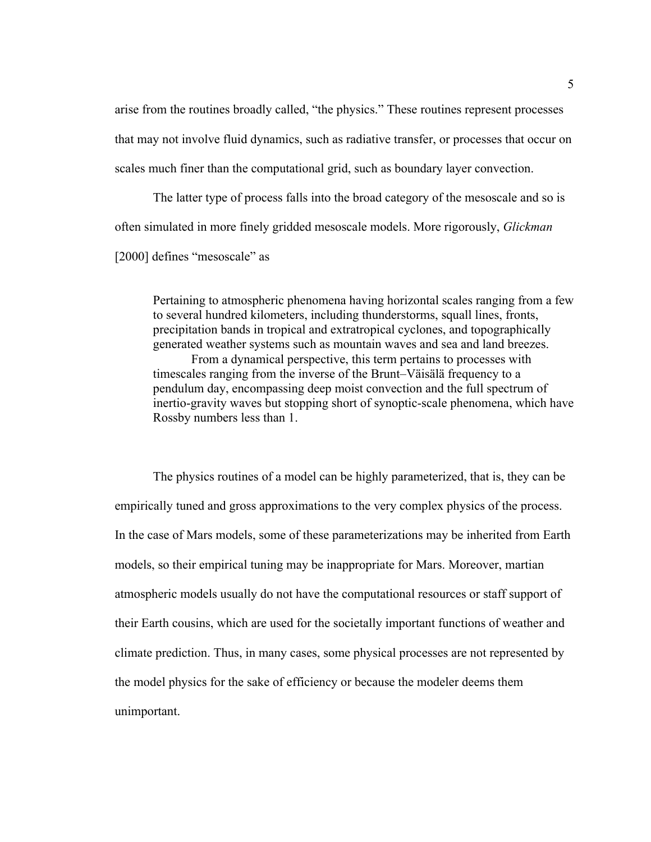arise from the routines broadly called, "the physics." These routines represent processes that may not involve fluid dynamics, such as radiative transfer, or processes that occur on scales much finer than the computational grid, such as boundary layer convection.

The latter type of process falls into the broad category of the mesoscale and so is often simulated in more finely gridded mesoscale models. More rigorously, *Glickman*

[2000] defines "mesoscale" as

Pertaining to atmospheric phenomena having horizontal scales ranging from a few to several hundred kilometers, including thunderstorms, squall lines, fronts, precipitation bands in tropical and extratropical cyclones, and topographically generated weather systems such as mountain waves and sea and land breezes. From a dynamical perspective, this term pertains to processes with timescales ranging from the inverse of the Brunt–Väisälä frequency to a pendulum day, encompassing deep moist convection and the full spectrum of inertio-gravity waves but stopping short of synoptic-scale phenomena, which have Rossby numbers less than 1.

The physics routines of a model can be highly parameterized, that is, they can be empirically tuned and gross approximations to the very complex physics of the process. In the case of Mars models, some of these parameterizations may be inherited from Earth models, so their empirical tuning may be inappropriate for Mars. Moreover, martian atmospheric models usually do not have the computational resources or staff support of their Earth cousins, which are used for the societally important functions of weather and climate prediction. Thus, in many cases, some physical processes are not represented by the model physics for the sake of efficiency or because the modeler deems them unimportant.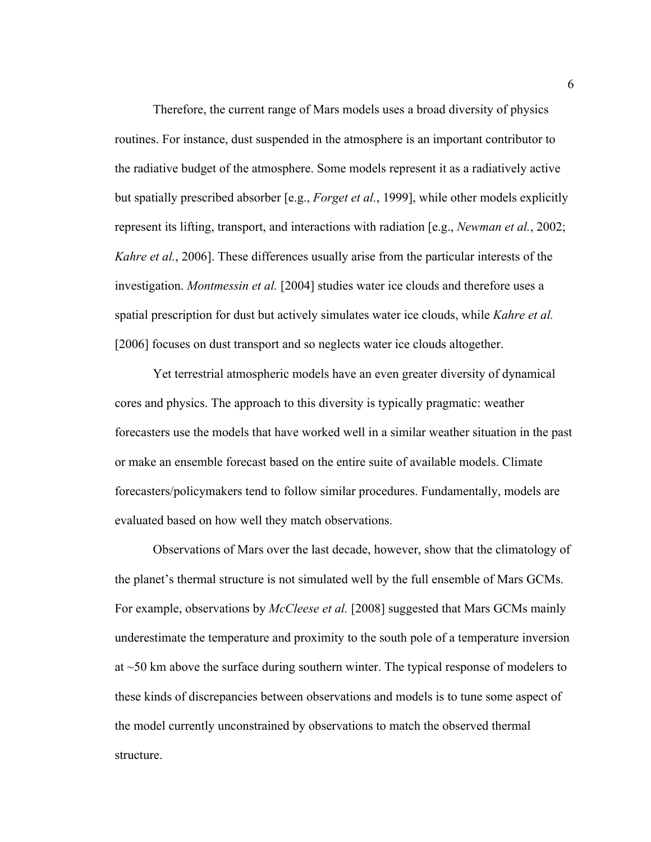Therefore, the current range of Mars models uses a broad diversity of physics routines. For instance, dust suspended in the atmosphere is an important contributor to the radiative budget of the atmosphere. Some models represent it as a radiatively active but spatially prescribed absorber [e.g., *Forget et al.*, 1999], while other models explicitly represent its lifting, transport, and interactions with radiation [e.g., *Newman et al.*, 2002; *Kahre et al.*, 2006]. These differences usually arise from the particular interests of the investigation. *Montmessin et al.* [2004] studies water ice clouds and therefore uses a spatial prescription for dust but actively simulates water ice clouds, while *Kahre et al.* [2006] focuses on dust transport and so neglects water ice clouds altogether.

Yet terrestrial atmospheric models have an even greater diversity of dynamical cores and physics. The approach to this diversity is typically pragmatic: weather forecasters use the models that have worked well in a similar weather situation in the past or make an ensemble forecast based on the entire suite of available models. Climate forecasters/policymakers tend to follow similar procedures. Fundamentally, models are evaluated based on how well they match observations.

Observations of Mars over the last decade, however, show that the climatology of the planet's thermal structure is not simulated well by the full ensemble of Mars GCMs. For example, observations by *McCleese et al.* [2008] suggested that Mars GCMs mainly underestimate the temperature and proximity to the south pole of a temperature inversion at ~50 km above the surface during southern winter. The typical response of modelers to these kinds of discrepancies between observations and models is to tune some aspect of the model currently unconstrained by observations to match the observed thermal structure.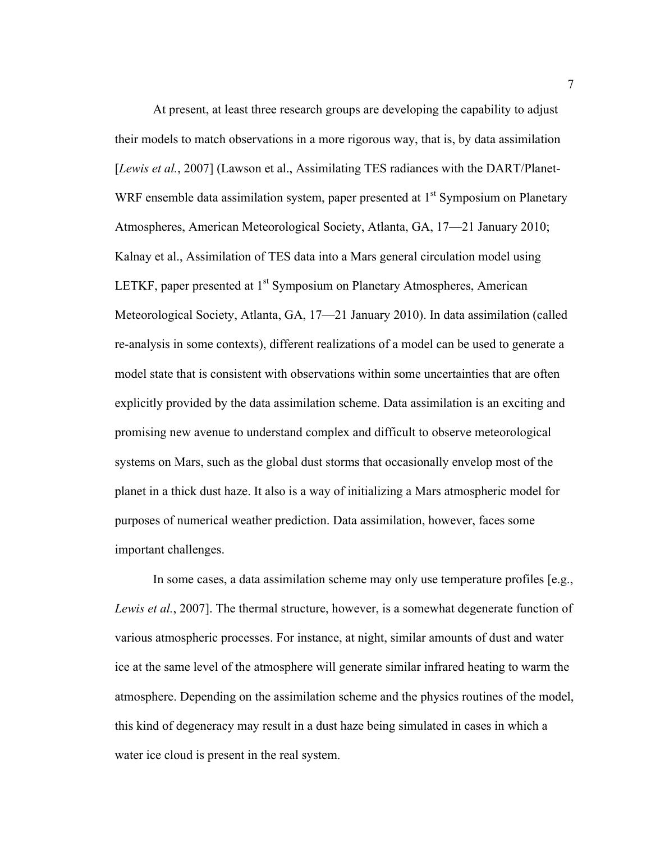At present, at least three research groups are developing the capability to adjust their models to match observations in a more rigorous way, that is, by data assimilation [*Lewis et al.*, 2007] (Lawson et al., Assimilating TES radiances with the DART/Planet-WRF ensemble data assimilation system, paper presented at  $1<sup>st</sup>$  Symposium on Planetary Atmospheres, American Meteorological Society, Atlanta, GA, 17—21 January 2010; Kalnay et al., Assimilation of TES data into a Mars general circulation model using LETKF, paper presented at 1<sup>st</sup> Symposium on Planetary Atmospheres, American Meteorological Society, Atlanta, GA, 17—21 January 2010). In data assimilation (called re-analysis in some contexts), different realizations of a model can be used to generate a model state that is consistent with observations within some uncertainties that are often explicitly provided by the data assimilation scheme. Data assimilation is an exciting and promising new avenue to understand complex and difficult to observe meteorological systems on Mars, such as the global dust storms that occasionally envelop most of the planet in a thick dust haze. It also is a way of initializing a Mars atmospheric model for purposes of numerical weather prediction. Data assimilation, however, faces some important challenges.

In some cases, a data assimilation scheme may only use temperature profiles [e.g., *Lewis et al.*, 2007]. The thermal structure, however, is a somewhat degenerate function of various atmospheric processes. For instance, at night, similar amounts of dust and water ice at the same level of the atmosphere will generate similar infrared heating to warm the atmosphere. Depending on the assimilation scheme and the physics routines of the model, this kind of degeneracy may result in a dust haze being simulated in cases in which a water ice cloud is present in the real system.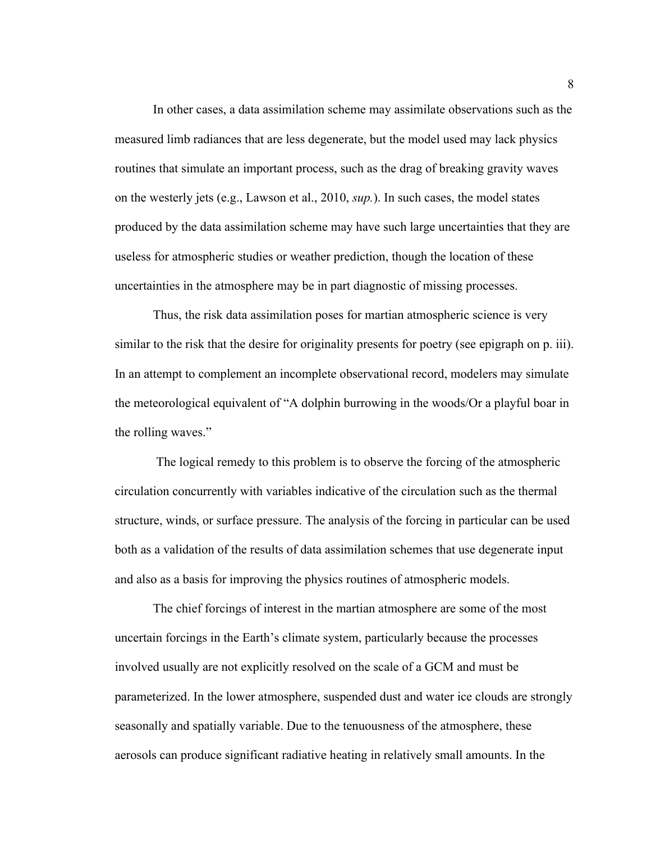In other cases, a data assimilation scheme may assimilate observations such as the measured limb radiances that are less degenerate, but the model used may lack physics routines that simulate an important process, such as the drag of breaking gravity waves on the westerly jets (e.g., Lawson et al., 2010, *sup.*). In such cases, the model states produced by the data assimilation scheme may have such large uncertainties that they are useless for atmospheric studies or weather prediction, though the location of these uncertainties in the atmosphere may be in part diagnostic of missing processes.

Thus, the risk data assimilation poses for martian atmospheric science is very similar to the risk that the desire for originality presents for poetry (see epigraph on p. iii). In an attempt to complement an incomplete observational record, modelers may simulate the meteorological equivalent of "A dolphin burrowing in the woods/Or a playful boar in the rolling waves."

 The logical remedy to this problem is to observe the forcing of the atmospheric circulation concurrently with variables indicative of the circulation such as the thermal structure, winds, or surface pressure. The analysis of the forcing in particular can be used both as a validation of the results of data assimilation schemes that use degenerate input and also as a basis for improving the physics routines of atmospheric models.

The chief forcings of interest in the martian atmosphere are some of the most uncertain forcings in the Earth's climate system, particularly because the processes involved usually are not explicitly resolved on the scale of a GCM and must be parameterized. In the lower atmosphere, suspended dust and water ice clouds are strongly seasonally and spatially variable. Due to the tenuousness of the atmosphere, these aerosols can produce significant radiative heating in relatively small amounts. In the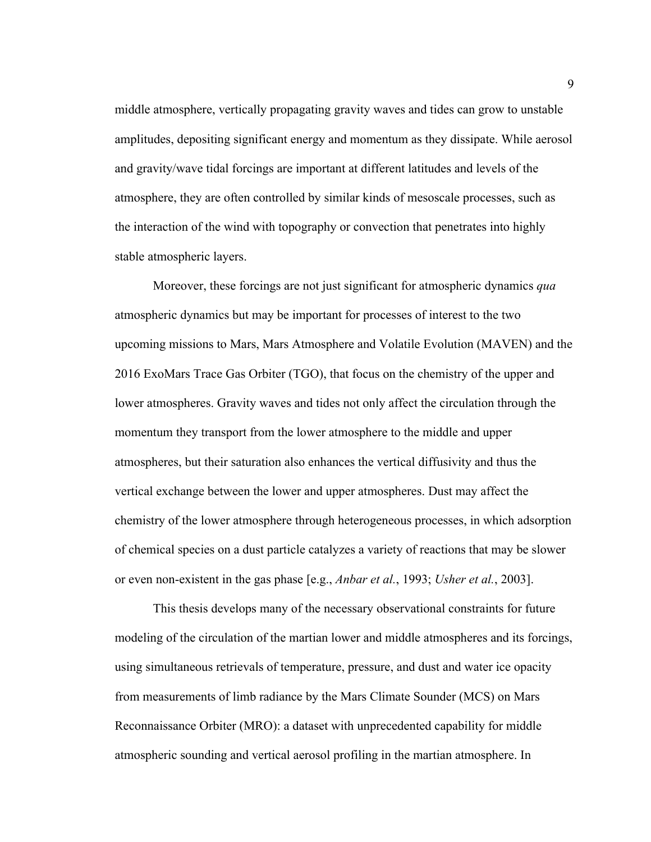middle atmosphere, vertically propagating gravity waves and tides can grow to unstable amplitudes, depositing significant energy and momentum as they dissipate. While aerosol and gravity/wave tidal forcings are important at different latitudes and levels of the atmosphere, they are often controlled by similar kinds of mesoscale processes, such as the interaction of the wind with topography or convection that penetrates into highly stable atmospheric layers.

Moreover, these forcings are not just significant for atmospheric dynamics *qua* atmospheric dynamics but may be important for processes of interest to the two upcoming missions to Mars, Mars Atmosphere and Volatile Evolution (MAVEN) and the 2016 ExoMars Trace Gas Orbiter (TGO), that focus on the chemistry of the upper and lower atmospheres. Gravity waves and tides not only affect the circulation through the momentum they transport from the lower atmosphere to the middle and upper atmospheres, but their saturation also enhances the vertical diffusivity and thus the vertical exchange between the lower and upper atmospheres. Dust may affect the chemistry of the lower atmosphere through heterogeneous processes, in which adsorption of chemical species on a dust particle catalyzes a variety of reactions that may be slower or even non-existent in the gas phase [e.g., *Anbar et al.*, 1993; *Usher et al.*, 2003].

This thesis develops many of the necessary observational constraints for future modeling of the circulation of the martian lower and middle atmospheres and its forcings, using simultaneous retrievals of temperature, pressure, and dust and water ice opacity from measurements of limb radiance by the Mars Climate Sounder (MCS) on Mars Reconnaissance Orbiter (MRO): a dataset with unprecedented capability for middle atmospheric sounding and vertical aerosol profiling in the martian atmosphere. In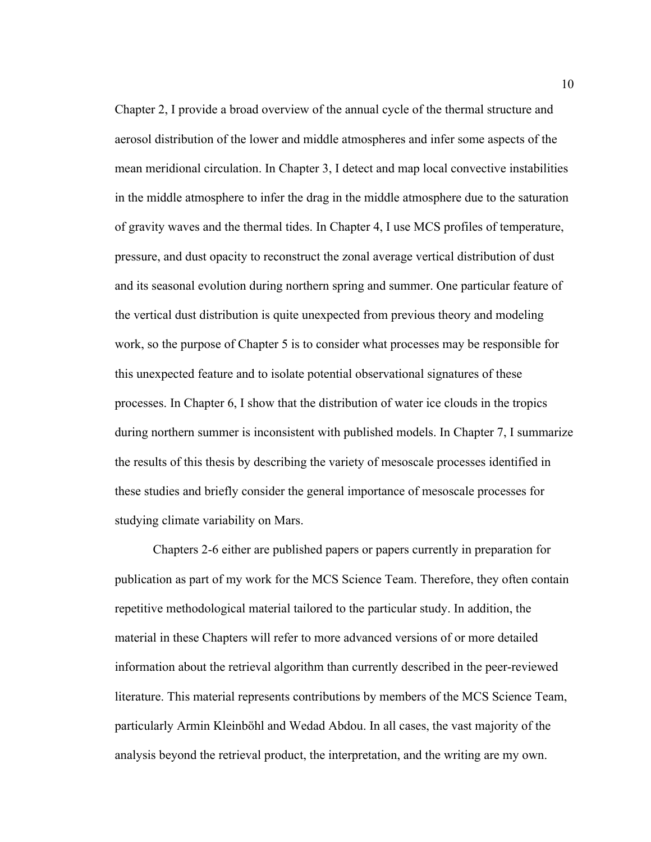Chapter 2, I provide a broad overview of the annual cycle of the thermal structure and aerosol distribution of the lower and middle atmospheres and infer some aspects of the mean meridional circulation. In Chapter 3, I detect and map local convective instabilities in the middle atmosphere to infer the drag in the middle atmosphere due to the saturation of gravity waves and the thermal tides. In Chapter 4, I use MCS profiles of temperature, pressure, and dust opacity to reconstruct the zonal average vertical distribution of dust and its seasonal evolution during northern spring and summer. One particular feature of the vertical dust distribution is quite unexpected from previous theory and modeling work, so the purpose of Chapter 5 is to consider what processes may be responsible for this unexpected feature and to isolate potential observational signatures of these processes. In Chapter 6, I show that the distribution of water ice clouds in the tropics during northern summer is inconsistent with published models. In Chapter 7, I summarize the results of this thesis by describing the variety of mesoscale processes identified in these studies and briefly consider the general importance of mesoscale processes for studying climate variability on Mars.

Chapters 2-6 either are published papers or papers currently in preparation for publication as part of my work for the MCS Science Team. Therefore, they often contain repetitive methodological material tailored to the particular study. In addition, the material in these Chapters will refer to more advanced versions of or more detailed information about the retrieval algorithm than currently described in the peer-reviewed literature. This material represents contributions by members of the MCS Science Team, particularly Armin Kleinböhl and Wedad Abdou. In all cases, the vast majority of the analysis beyond the retrieval product, the interpretation, and the writing are my own.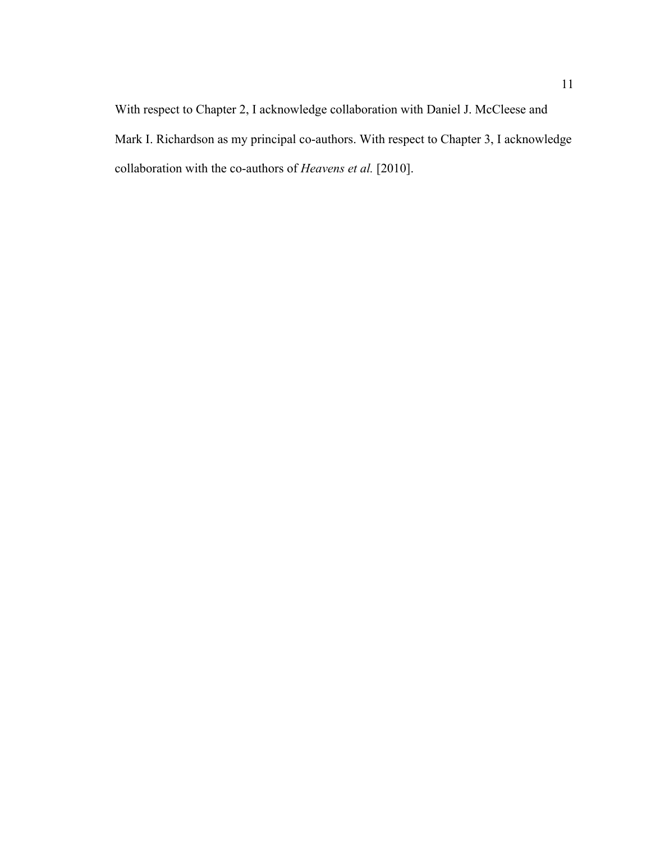With respect to Chapter 2, I acknowledge collaboration with Daniel J. McCleese and Mark I. Richardson as my principal co-authors. With respect to Chapter 3, I acknowledge collaboration with the co-authors of *Heavens et al.* [2010].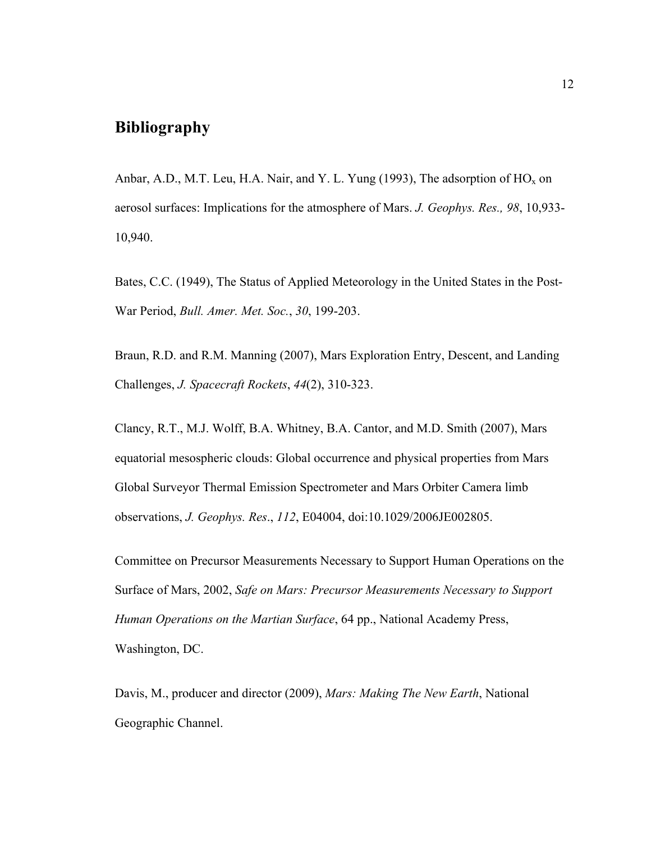## **Bibliography**

Anbar, A.D., M.T. Leu, H.A. Nair, and Y. L. Yung (1993), The adsorption of  $HO_x$  on aerosol surfaces: Implications for the atmosphere of Mars. *J. Geophys. Res., 98*, 10,933- 10,940.

Bates, C.C. (1949), The Status of Applied Meteorology in the United States in the Post-War Period, *Bull. Amer. Met. Soc.*, *30*, 199-203.

Braun, R.D. and R.M. Manning (2007), Mars Exploration Entry, Descent, and Landing Challenges, *J. Spacecraft Rockets*, *44*(2), 310-323.

Clancy, R.T., M.J. Wolff, B.A. Whitney, B.A. Cantor, and M.D. Smith (2007), Mars equatorial mesospheric clouds: Global occurrence and physical properties from Mars Global Surveyor Thermal Emission Spectrometer and Mars Orbiter Camera limb observations, *J. Geophys. Res*., *112*, E04004, doi:10.1029/2006JE002805.

Committee on Precursor Measurements Necessary to Support Human Operations on the Surface of Mars, 2002, *Safe on Mars: Precursor Measurements Necessary to Support Human Operations on the Martian Surface*, 64 pp., National Academy Press, Washington, DC.

Davis, M., producer and director (2009), *Mars: Making The New Earth*, National Geographic Channel.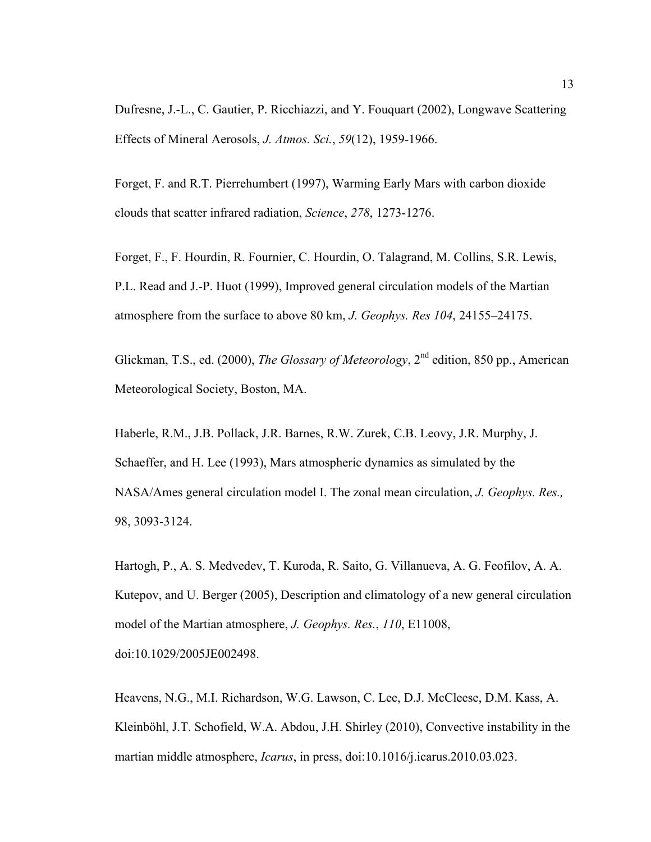Dufresne, J.-L., C. Gautier, P. Ricchiazzi, and Y. Fouquart (2002), Longwave Scattering Effects of Mineral Aerosols, *J. Atmos. Sci.*, *59*(12), 1959-1966.

Forget, F. and R.T. Pierrehumbert (1997), Warming Early Mars with carbon dioxide clouds that scatter infrared radiation, *Science*, *278*, 1273-1276.

Forget, F., F. Hourdin, R. Fournier, C. Hourdin, O. Talagrand, M. Collins, S.R. Lewis, P.L. Read and J.-P. Huot (1999), Improved general circulation models of the Martian atmosphere from the surface to above 80 km, *J. Geophys. Res 104*, 24155–24175.

Glickman, T.S., ed. (2000), *The Glossary of Meteorology*, 2<sup>nd</sup> edition, 850 pp., American Meteorological Society, Boston, MA.

Haberle, R.M., J.B. Pollack, J.R. Barnes, R.W. Zurek, C.B. Leovy, J.R. Murphy, J. Schaeffer, and H. Lee (1993), Mars atmospheric dynamics as simulated by the NASA/Ames general circulation model I. The zonal mean circulation, *J. Geophys. Res.,*  98, 3093-3124.

Hartogh, P., A. S. Medvedev, T. Kuroda, R. Saito, G. Villanueva, A. G. Feofilov, A. A. Kutepov, and U. Berger (2005), Description and climatology of a new general circulation model of the Martian atmosphere, *J. Geophys. Res.*, *110*, E11008, doi:10.1029/2005JE002498.

Heavens, N.G., M.I. Richardson, W.G. Lawson, C. Lee, D.J. McCleese, D.M. Kass, A. Kleinböhl, J.T. Schofield, W.A. Abdou, J.H. Shirley (2010), Convective instability in the martian middle atmosphere, *Icarus*, in press, doi:10.1016/j.icarus.2010.03.023.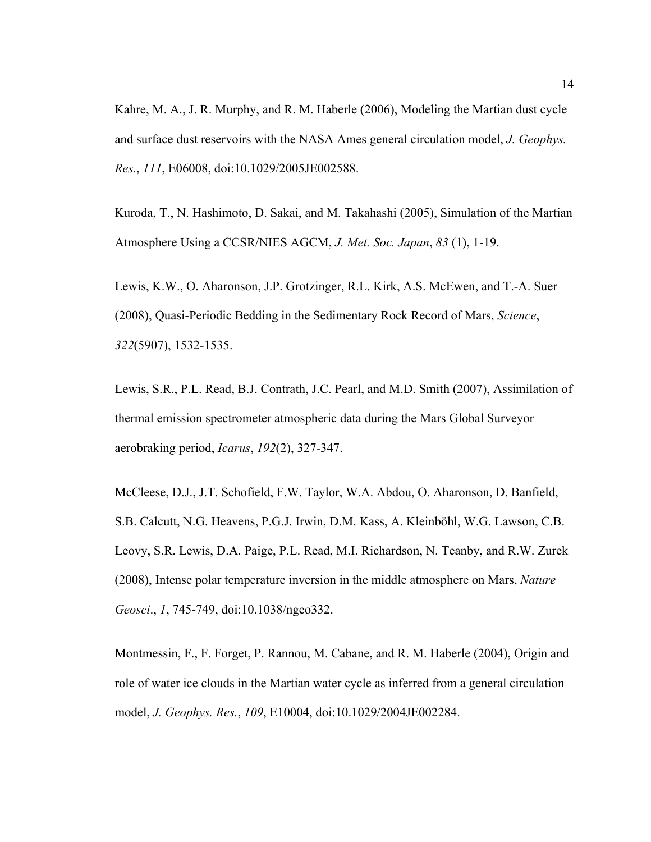Kahre, M. A., J. R. Murphy, and R. M. Haberle (2006), Modeling the Martian dust cycle and surface dust reservoirs with the NASA Ames general circulation model, *J. Geophys. Res.*, *111*, E06008, doi:10.1029/2005JE002588.

Kuroda, T., N. Hashimoto, D. Sakai, and M. Takahashi (2005), Simulation of the Martian Atmosphere Using a CCSR/NIES AGCM, *J. Met. Soc. Japan*, *83* (1), 1-19.

Lewis, K.W., O. Aharonson, J.P. Grotzinger, R.L. Kirk, A.S. McEwen, and T.-A. Suer (2008), Quasi-Periodic Bedding in the Sedimentary Rock Record of Mars, *Science*, *322*(5907), 1532-1535.

Lewis, S.R., P.L. Read, B.J. Contrath, J.C. Pearl, and M.D. Smith (2007), Assimilation of thermal emission spectrometer atmospheric data during the Mars Global Surveyor aerobraking period, *Icarus*, *192*(2), 327-347.

McCleese, D.J., J.T. Schofield, F.W. Taylor, W.A. Abdou, O. Aharonson, D. Banfield, S.B. Calcutt, N.G. Heavens, P.G.J. Irwin, D.M. Kass, A. Kleinböhl, W.G. Lawson, C.B. Leovy, S.R. Lewis, D.A. Paige, P.L. Read, M.I. Richardson, N. Teanby, and R.W. Zurek (2008), Intense polar temperature inversion in the middle atmosphere on Mars, *Nature Geosci*., *1*, 745-749, doi:10.1038/ngeo332.

Montmessin, F., F. Forget, P. Rannou, M. Cabane, and R. M. Haberle (2004), Origin and role of water ice clouds in the Martian water cycle as inferred from a general circulation model, *J. Geophys. Res.*, *109*, E10004, doi:10.1029/2004JE002284.